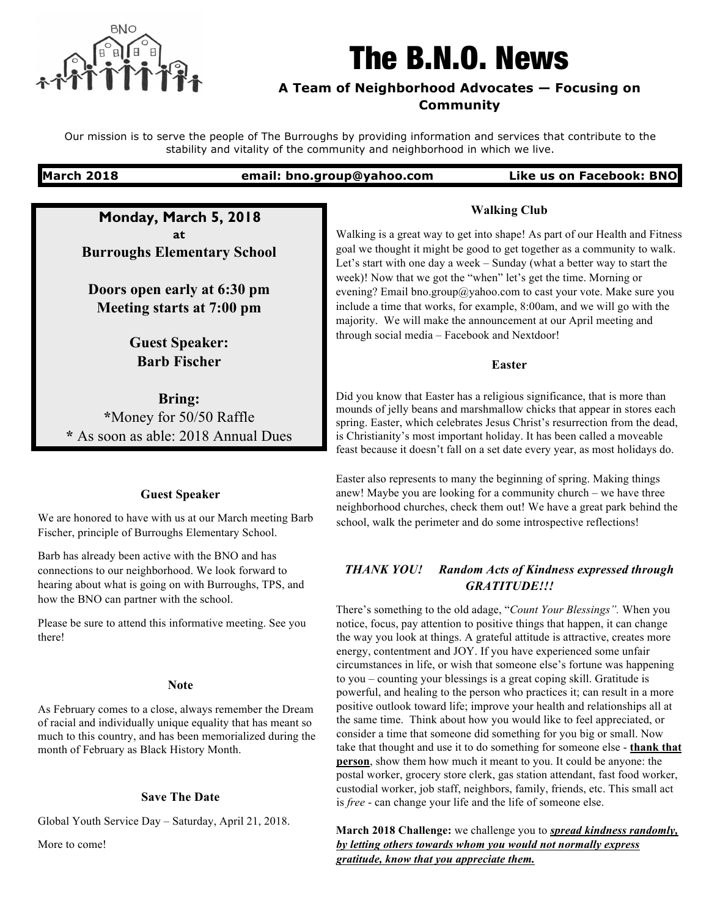

# The B.N.O. News

# **A Team of Neighborhood Advocates — Focusing on Community**

Our mission is to serve the people of The Burroughs by providing information and services that contribute to the stability and vitality of the community and neighborhood in which we live.

## **March 2018 email: bno.group@yahoo.com Like us on Facebook: BNO**

**Monday, March 5, 2018 at Burroughs Elementary School**

**Doors open early at 6:30 pm Meeting starts at 7:00 pm**

> **Guest Speaker: Barb Fischer**

**Bring: \***Money for 50/50 Raffle **\*** As soon as able: 2018 Annual Dues

### **Guest Speaker**

We are honored to have with us at our March meeting Barb Fischer, principle of Burroughs Elementary School.

Barb has already been active with the BNO and has connections to our neighborhood. We look forward to hearing about what is going on with Burroughs, TPS, and how the BNO can partner with the school.

Please be sure to attend this informative meeting. See you there!

#### **Note**

As February comes to a close, always remember the Dream of racial and individually unique equality that has meant so much to this country, and has been memorialized during the month of February as Black History Month.

#### **Save The Date**

Global Youth Service Day – Saturday, April 21, 2018.

More to come!

Walking is a great way to get into shape! As part of our Health and Fitness goal we thought it might be good to get together as a community to walk. Let's start with one day a week – Sunday (what a better way to start the week)! Now that we got the "when" let's get the time. Morning or evening? Email bno.group@yahoo.com to cast your vote. Make sure you include a time that works, for example, 8:00am, and we will go with the majority. We will make the announcement at our April meeting and through social media – Facebook and Nextdoor!

**Walking Club**

#### **Easter**

Did you know that Easter has a religious significance, that is more than mounds of jelly beans and marshmallow chicks that appear in stores each spring. Easter, which celebrates Jesus Christ's resurrection from the dead, is Christianity's most important holiday. It has been called a moveable feast because it doesn't fall on a set date every year, as most holidays do.

Easter also represents to many the beginning of spring. Making things anew! Maybe you are looking for a community church – we have three neighborhood churches, check them out! We have a great park behind the school, walk the perimeter and do some introspective reflections!

# *THANK YOU! Random Acts of Kindness expressed through GRATITUDE!!!*

There's something to the old adage, "*Count Your Blessings".* When you notice, focus, pay attention to positive things that happen, it can change the way you look at things. A grateful attitude is attractive, creates more energy, contentment and JOY. If you have experienced some unfair circumstances in life, or wish that someone else's fortune was happening to you – counting your blessings is a great coping skill. Gratitude is powerful, and healing to the person who practices it; can result in a more positive outlook toward life; improve your health and relationships all at the same time. Think about how you would like to feel appreciated, or consider a time that someone did something for you big or small. Now take that thought and use it to do something for someone else - **thank that person**, show them how much it meant to you. It could be anyone: the postal worker, grocery store clerk, gas station attendant, fast food worker, custodial worker, job staff, neighbors, family, friends, etc. This small act is *free* - can change your life and the life of someone else.

**March 2018 Challenge:** we challenge you to *spread kindness randomly, by letting others towards whom you would not normally express gratitude, know that you appreciate them.*